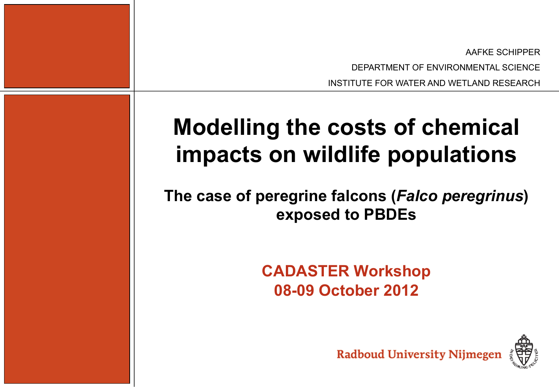AAFKE SCHIPPER DEPARTMENT OF ENVIRONMENTAL SCIENCE

INSTITUTE FOR WATER AND WETLAND RESEARCH

# **Modelling the costs of chemical impacts on wildlife populations**

**The case of peregrine falcons (***Falco peregrinus***) exposed to PBDEs** 

# **CADASTER Workshop 08-09 October 2012**

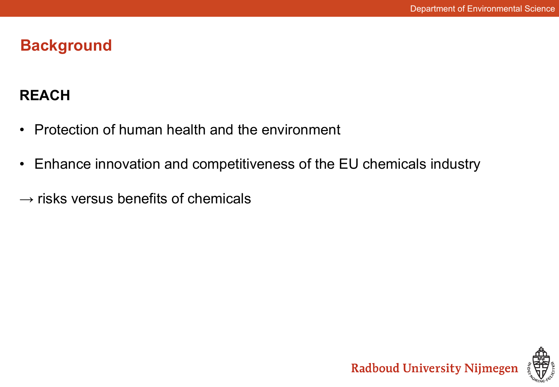## **Background**

## **REACH**

- Protection of human health and the environment
- Enhance innovation and competitiveness of the EU chemicals industry
- $\rightarrow$  risks versus benefits of chemicals

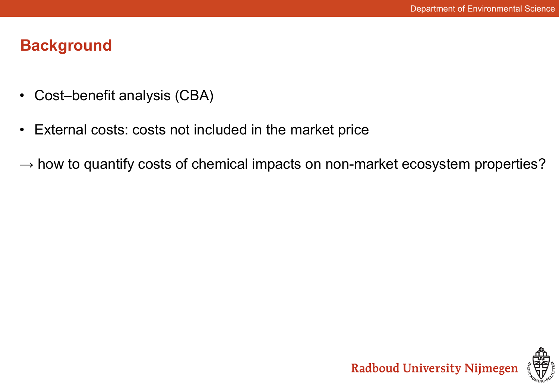## **Background**

- Cost–benefit analysis (CBA)
- External costs: costs not included in the market price
- $\rightarrow$  how to quantify costs of chemical impacts on non-market ecosystem properties?

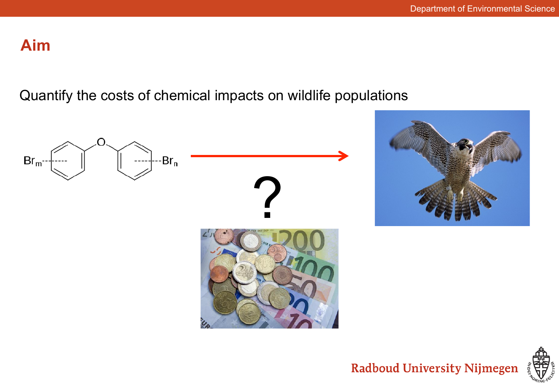# **Aim**

Quantify the costs of chemical impacts on wildlife populations



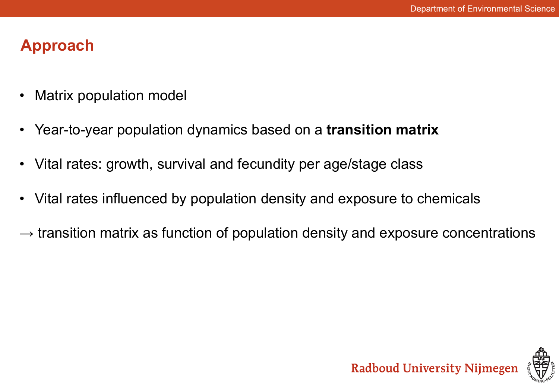# **Approach**

- Matrix population model
- Year-to-year population dynamics based on a **transition matrix**
- Vital rates: growth, survival and fecundity per age/stage class
- Vital rates influenced by population density and exposure to chemicals
- $\rightarrow$  transition matrix as function of population density and exposure concentrations

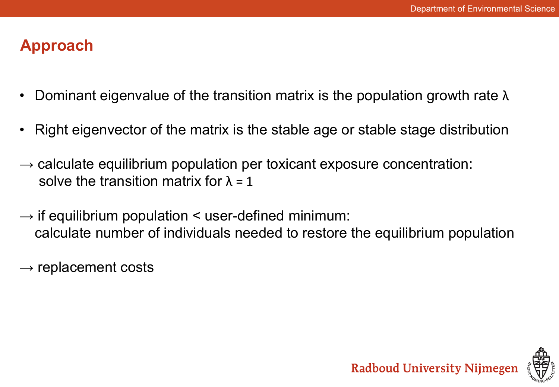## **Approach**

- Dominant eigenvalue of the transition matrix is the population growth rate  $λ$
- Right eigenvector of the matrix is the stable age or stable stage distribution
- $\rightarrow$  calculate equilibrium population per toxicant exposure concentration: solve the transition matrix for  $\lambda = 1$
- $\rightarrow$  if equilibrium population  $\leq$  user-defined minimum: calculate number of individuals needed to restore the equilibrium population
- $\rightarrow$  replacement costs

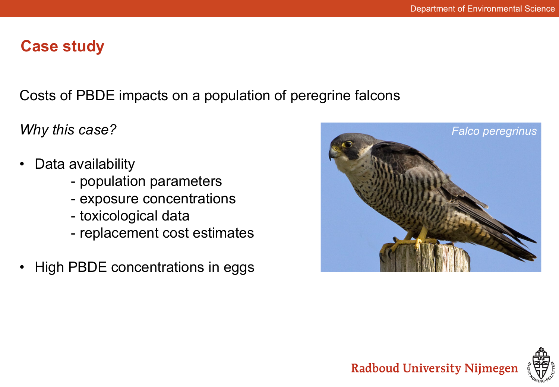### **Case study**

Costs of PBDE impacts on a population of peregrine falcons

*Why this case?* 

- Data availability
	- population parameters
	- exposure concentrations
	- toxicological data
	- replacement cost estimates
- High PBDE concentrations in eggs



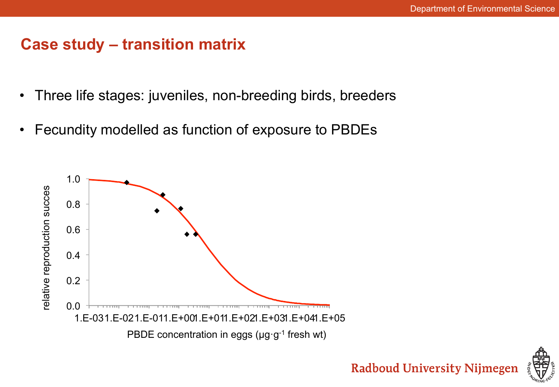### **Case study – transition matrix**

- Three life stages: juveniles, non-breeding birds, breeders
- Fecundity modelled as function of exposure to PBDEs



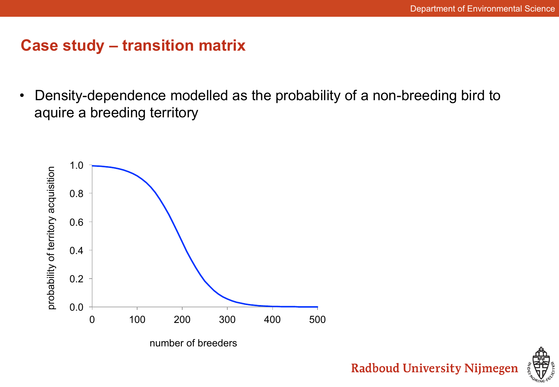## **Case study – transition matrix**

• Density-dependence modelled as the probability of a non-breeding bird to aquire a breeding territory



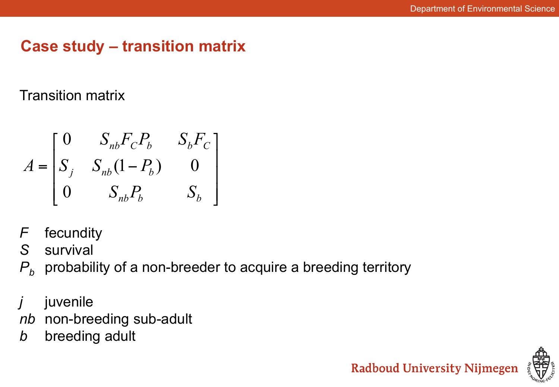## **Case study – transition matrix**

Transition matrix

$$
A = \begin{bmatrix} 0 & S_{nb}F_{C}P_b & S_bF_{C} \\ S_j & S_{nb}(1-P_b) & 0 \\ 0 & S_{nb}P_b & S_b \end{bmatrix}
$$

*F* fecundity

*S* survival

*P<sub>b</sub>* probability of a non-breeder to acquire a breeding territory

- *j* juvenile
- *nb* non-breeding sub-adult
- **b** breeding adult

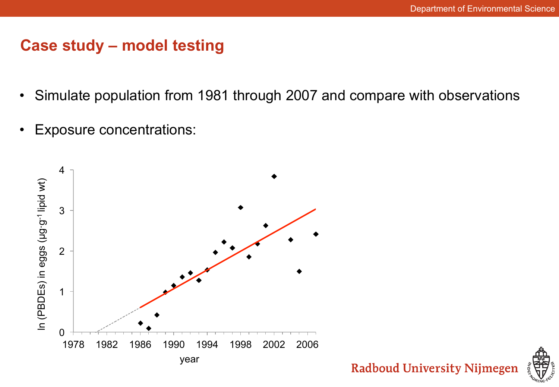#### **Case study – model testing**

- Simulate population from 1981 through 2007 and compare with observations
- Exposure concentrations:

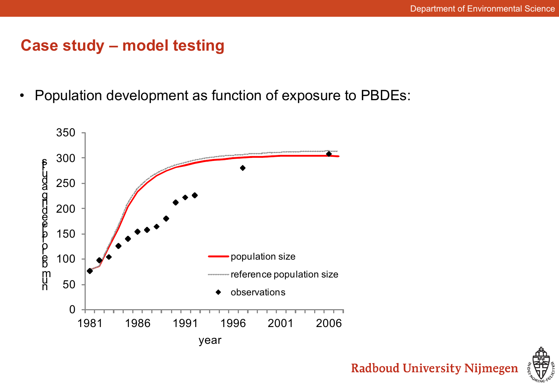#### **Case study – model testing**

• Population development as function of exposure to PBDEs:



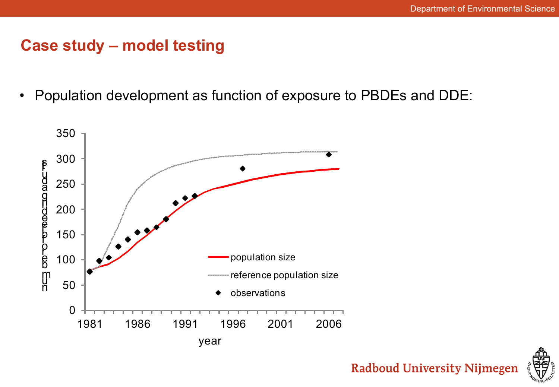#### **Case study – model testing**

• Population development as function of exposure to PBDEs and DDE:



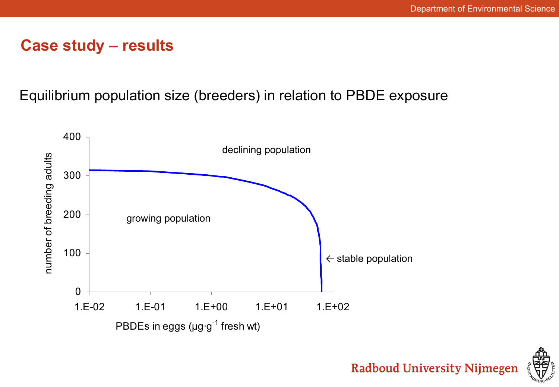#### **Case study – results**

#### Equilibrium population size (breeders) in relation to PBDE exposure



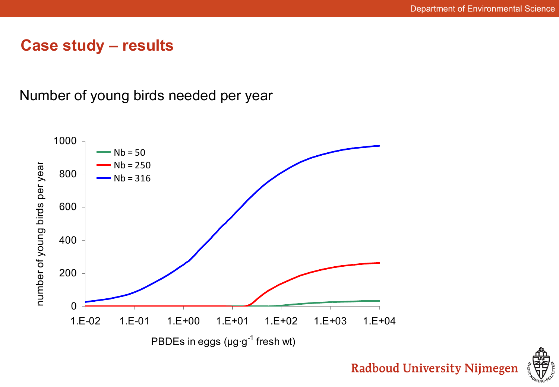#### **Case study – results**

Number of young birds needed per year



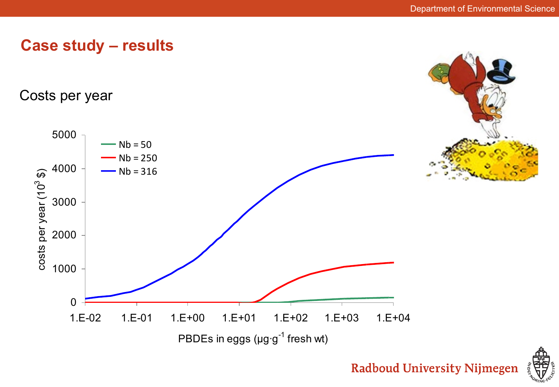

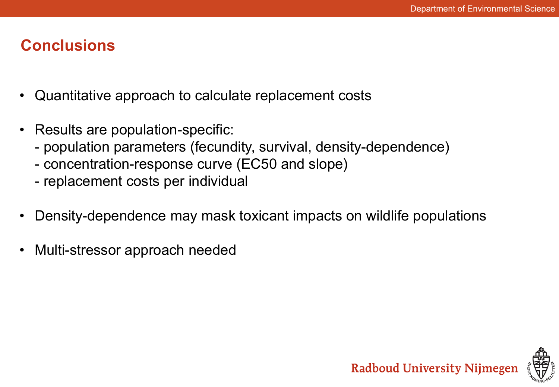## **Conclusions**

- Quantitative approach to calculate replacement costs
- Results are population-specific:
	- population parameters (fecundity, survival, density-dependence)
	- concentration-response curve (EC50 and slope)
	- replacement costs per individual
- Density-dependence may mask toxicant impacts on wildlife populations
- Multi-stressor approach needed

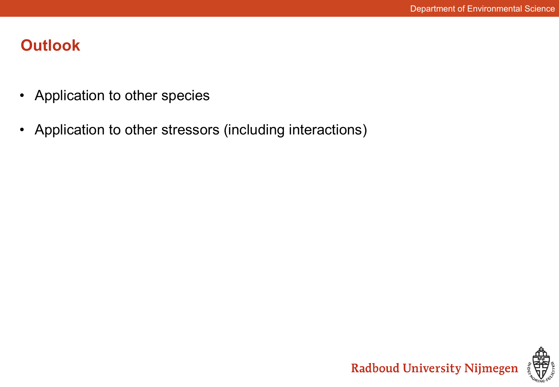# **Outlook**

- Application to other species
- Application to other stressors (including interactions)